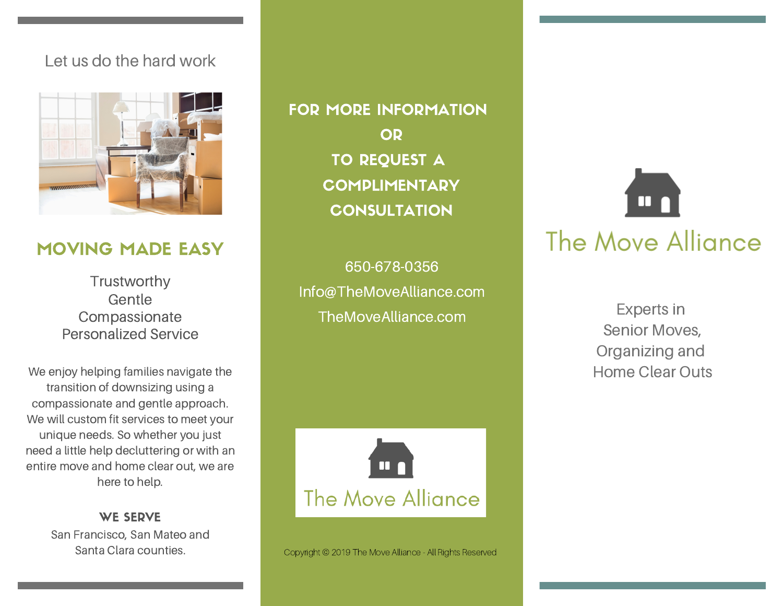#### Let us do the hard work



## MOVING MADE EASY

**Trustworthy** Gentle Compassionate Personalized Service

We enjoy helping families navigate the transition of downsizing using a compassionate and gentle approach. We will custom fit services to meet your unique needs. So whether you just need a little help decluttering or with an entire move and home clear out, we are here to help.

> WE SERVE San Francisco, San Mateo and

FOR MORE INFORMATION OR TO REQUEST A **COMPLIMENTARY CONSULTATION** 

650-678-0356 Info@TheMoveAlliance.com TheMoveAlliance.com



Santa Clara counties. Copyright © 2019 The Move Alliance - All Rights Reserved



Experts in Senior Moves, Organizing and Home Clear Outs